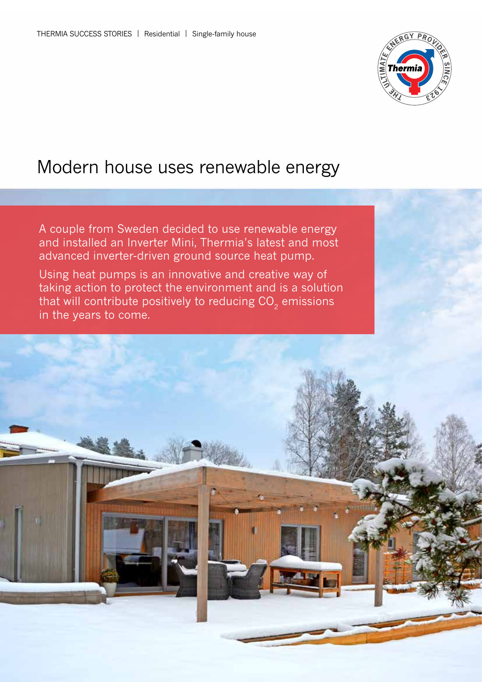

# Modern house uses renewable energy

A couple from Sweden decided to use renewable energy and installed an Inverter Mini, Thermia's latest and most advanced inverter-driven ground source heat pump.

Using heat pumps is an innovative and creative way of taking action to protect the environment and is a solution that will contribute positively to reducing  $CO<sub>2</sub>$  emissions in the years to come.

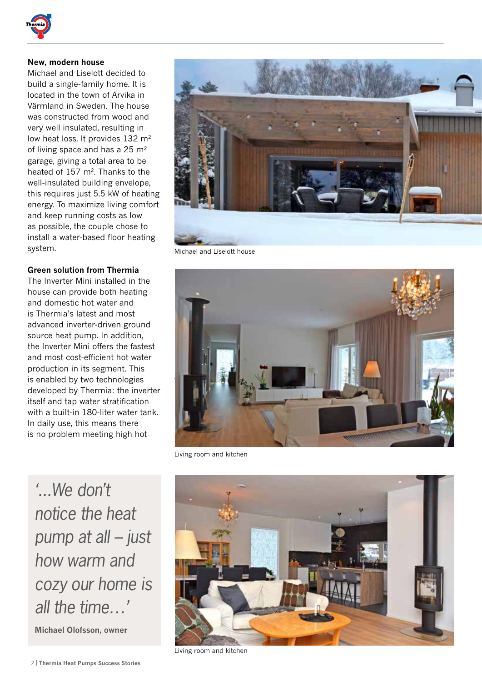

## **New, modern house**

Michael and Liselott decided to build a single-family home. It is located in the town of Arvika in Värmland in Sweden. The house was constructed from wood and very well insulated, resulting in low heat loss. It provides 132 m<sup>2</sup> of living space and has a  $25 \text{ m}^2$ garage, giving a total area to be heated of 157 m<sup>2</sup>. Thanks to the well-insulated building envelope, this requires just 5.5 kW of heating energy. To maximize living comfort and keep running costs as low as possible, the couple chose to install a water-based floor heating system.

### **Green solution from Thermia**

The Inverter Mini installed in the house can provide both heating and domestic hot water and is Thermia's latest and most advanced inverter-driven ground source heat pump. In addition, the Inverter Mini offers the fastest and most cost-efficient hot water production in its segment. This is enabled by two technologies developed by Thermia: the inverter itself and tap water stratification with a built-in 180-liter water tank. In daily use, this means there is no problem meeting high hot



Michael and Liselott house



Living room and kitchen

*'...We don't notice the heat pump at all – just how warm and cozy our home is all the time…'*

**Michael Olofsson, owner**





Living room and kitchen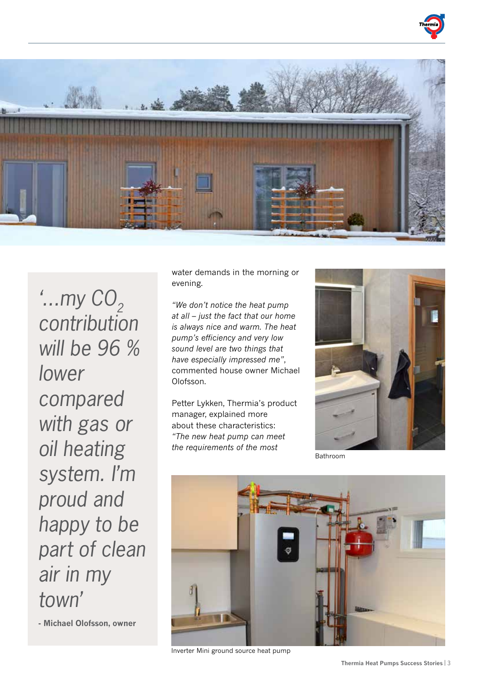



*'...my CO<sub>2</sub> contribution will be 96 % lower compared with gas or oil heating system. I'm proud and happy to be part of clean air in my town'*

**- Michael Olofsson, owner**

water demands in the morning or evening.

*"We don't notice the heat pump at all – just the fact that our home is always nice and warm. The heat pump's efficiency and very low sound level are two things that have especially impressed me"*, commented house owner Michael Olofsson.

Petter Lykken, Thermia's product manager, explained more about these characteristics: *"The new heat pump can meet the requirements of the most* 



Bathroom



Inverter Mini ground source heat pump